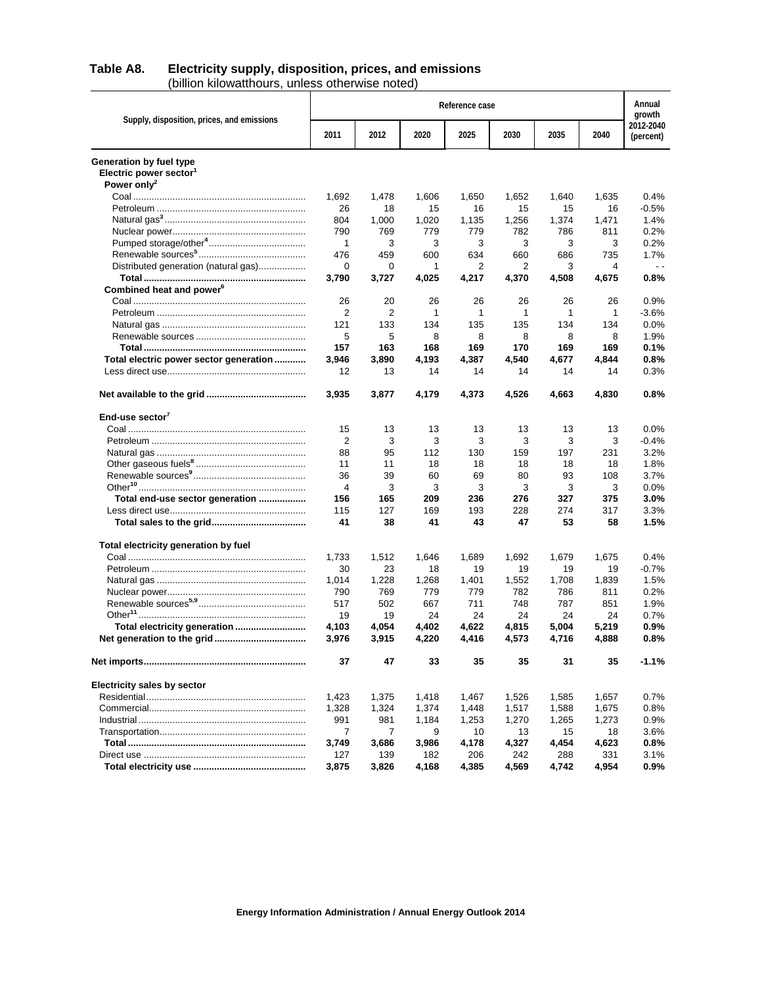## **Table A8. Electricity supply, disposition, prices, and emissions** (billion kilowatthours, unless otherwise noted)

|                                            | Reference case |       |       |              |       |              |       | Annual<br>growth       |
|--------------------------------------------|----------------|-------|-------|--------------|-------|--------------|-------|------------------------|
| Supply, disposition, prices, and emissions | 2011           | 2012  | 2020  | 2025         | 2030  | 2035         | 2040  | 2012-2040<br>(percent) |
| Generation by fuel type                    |                |       |       |              |       |              |       |                        |
| Electric power sector <sup>1</sup>         |                |       |       |              |       |              |       |                        |
| Power only <sup>2</sup>                    |                |       |       |              |       |              |       |                        |
|                                            | 1,692          | 1,478 | 1,606 | 1,650        | 1,652 | 1,640        | 1,635 | 0.4%                   |
|                                            | 26             | 18    | 15    | 16           | 15    | 15           | 16    | $-0.5%$                |
|                                            | 804            | 1,000 | 1,020 | 1,135        | 1,256 | 1,374        | 1,471 | 1.4%                   |
|                                            | 790            | 769   | 779   | 779          | 782   | 786          | 811   | 0.2%                   |
|                                            | 1              | 3     | 3     | 3            | 3     | 3            | 3     | 0.2%                   |
|                                            | 476            | 459   | 600   | 634          | 660   | 686          | 735   | 1.7%                   |
| Distributed generation (natural gas)       | 0              | 0     | 1     | 2            | 2     | 3            | 4     | $\overline{a}$         |
|                                            | 3,790          | 3,727 | 4,025 | 4,217        | 4,370 | 4,508        | 4,675 | 0.8%                   |
| Combined heat and power <sup>6</sup>       |                |       |       |              |       |              |       |                        |
|                                            | 26             | 20    | 26    | 26           | 26    | 26           | 26    | 0.9%                   |
|                                            | 2              | 2     | 1     | $\mathbf{1}$ | 1     | $\mathbf{1}$ | 1     | $-3.6%$                |
|                                            | 121            | 133   | 134   | 135          | 135   | 134          | 134   | 0.0%                   |
|                                            | 5              | 5     | 8     | 8            | 8     | 8            | 8     | 1.9%                   |
|                                            | 157            | 163   | 168   | 169          | 170   | 169          | 169   | 0.1%                   |
| Total electric power sector generation     | 3.946          | 3,890 | 4,193 | 4,387        | 4,540 | 4,677        | 4,844 | 0.8%                   |
|                                            | 12             | 13    | 14    | 14           | 14    | 14           | 14    | 0.3%                   |
|                                            | 3,935          | 3,877 | 4.179 | 4,373        | 4,526 | 4,663        | 4,830 | $0.8\%$                |
| End-use sector $7$                         |                |       |       |              |       |              |       |                        |
|                                            | 15             | 13    | 13    | 13           | 13    | 13           | 13    | $0.0\%$                |
|                                            | 2              | 3     | 3     | 3            | 3     | 3            | 3     | $-0.4%$                |
|                                            | 88             | 95    | 112   | 130          | 159   | 197          | 231   | 3.2%                   |
|                                            | 11             | 11    | 18    | 18           | 18    | 18           | 18    | 1.8%                   |
|                                            | 36             | 39    | 60    | 69           | 80    | 93           | 108   | 3.7%                   |
|                                            | 4              | 3     | 3     | 3            | 3     | 3            | 3     | $0.0\%$                |
| Total end-use sector generation            | 156            | 165   | 209   | 236          | 276   | 327          | 375   | 3.0%                   |
|                                            | 115            | 127   | 169   | 193          | 228   | 274          | 317   | 3.3%                   |
|                                            | 41             | 38    | 41    | 43           | 47    | 53           | 58    | 1.5%                   |
| Total electricity generation by fuel       |                |       |       |              |       |              |       |                        |
|                                            | 1,733          | 1,512 | 1,646 | 1,689        | 1,692 | 1,679        | 1,675 | 0.4%                   |
|                                            | 30             | 23    | 18    | 19           | 19    | 19           | 19    | $-0.7%$                |
|                                            | 1,014          | 1,228 | 1,268 | 1,401        | 1,552 | 1,708        | 1,839 | 1.5%                   |
|                                            | 790            | 769   | 779   | 779          | 782   | 786          | 811   | 0.2%                   |
|                                            | 517            | 502   | 667   | 711          | 748   | 787          | 851   | 1.9%                   |
|                                            | 19             | 19    | 24    | 24           | 24    | 24           | 24    | 0.7%                   |
| Total electricity generation               | 4,103          | 4,054 | 4,402 | 4,622        | 4,815 | 5,004        | 5,219 | 0.9%                   |
|                                            | 3,976          | 3,915 | 4,220 | 4,416        | 4,573 | 4,716        | 4,888 | 0.8%                   |
|                                            | 37             | 47    | 33    | 35           | 35    | 31           | 35    | $-1.1%$                |
| <b>Electricity sales by sector</b>         |                |       |       |              |       |              |       |                        |
|                                            | 1,423          | 1,375 | 1,418 | 1,467        | 1,526 | 1,585        | 1,657 | 0.7%                   |
|                                            | 1,328          | 1,324 | 1,374 | 1,448        | 1,517 | 1,588        | 1,675 | 0.8%                   |
|                                            | 991            | 981   | 1,184 | 1,253        | 1,270 | 1,265        | 1,273 | 0.9%                   |
|                                            | 7              | 7     | 9     | 10           | 13    | 15           | 18    | 3.6%                   |
|                                            | 3,749          | 3,686 | 3,986 | 4,178        | 4,327 | 4,454        | 4,623 | $0.8\%$                |
|                                            | 127            | 139   | 182   | 206          | 242   | 288          | 331   | 3.1%                   |
|                                            | 3,875          | 3,826 | 4,168 | 4,385        | 4,569 | 4,742        | 4,954 | 0.9%                   |